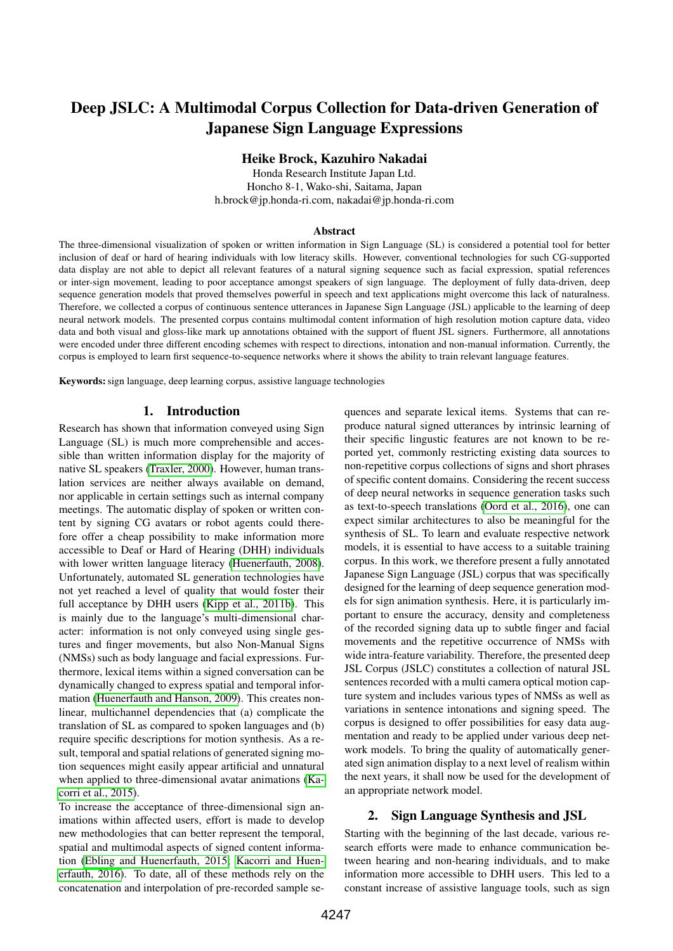# Deep JSLC: A Multimodal Corpus Collection for Data-driven Generation of Japanese Sign Language Expressions

# Heike Brock, Kazuhiro Nakadai

Honda Research Institute Japan Ltd. Honcho 8-1, Wako-shi, Saitama, Japan h.brock@jp.honda-ri.com, nakadai@jp.honda-ri.com

#### Abstract

The three-dimensional visualization of spoken or written information in Sign Language (SL) is considered a potential tool for better inclusion of deaf or hard of hearing individuals with low literacy skills. However, conventional technologies for such CG-supported data display are not able to depict all relevant features of a natural signing sequence such as facial expression, spatial references or inter-sign movement, leading to poor acceptance amongst speakers of sign language. The deployment of fully data-driven, deep sequence generation models that proved themselves powerful in speech and text applications might overcome this lack of naturalness. Therefore, we collected a corpus of continuous sentence utterances in Japanese Sign Language (JSL) applicable to the learning of deep neural network models. The presented corpus contains multimodal content information of high resolution motion capture data, video data and both visual and gloss-like mark up annotations obtained with the support of fluent JSL signers. Furthermore, all annotations were encoded under three different encoding schemes with respect to directions, intonation and non-manual information. Currently, the corpus is employed to learn first sequence-to-sequence networks where it shows the ability to train relevant language features.

Keywords: sign language, deep learning corpus, assistive language technologies

#### 1. Introduction

Research has shown that information conveyed using Sign Language (SL) is much more comprehensible and accessible than written information display for the majority of native SL speakers [\(Traxler, 2000\)](#page-5-0). However, human translation services are neither always available on demand, nor applicable in certain settings such as internal company meetings. The automatic display of spoken or written content by signing CG avatars or robot agents could therefore offer a cheap possibility to make information more accessible to Deaf or Hard of Hearing (DHH) individuals with lower written language literacy [\(Huenerfauth, 2008\)](#page-5-1). Unfortunately, automated SL generation technologies have not yet reached a level of quality that would foster their full acceptance by DHH users [\(Kipp et al., 2011b\)](#page-5-2). This is mainly due to the language's multi-dimensional character: information is not only conveyed using single gestures and finger movements, but also Non-Manual Signs (NMSs) such as body language and facial expressions. Furthermore, lexical items within a signed conversation can be dynamically changed to express spatial and temporal information [\(Huenerfauth and Hanson, 2009\)](#page-5-3). This creates nonlinear, multichannel dependencies that (a) complicate the translation of SL as compared to spoken languages and (b) require specific descriptions for motion synthesis. As a result, temporal and spatial relations of generated signing motion sequences might easily appear artificial and unnatural when applied to three-dimensional avatar animations [\(Ka](#page-5-4)[corri et al., 2015\)](#page-5-4).

To increase the acceptance of three-dimensional sign animations within affected users, effort is made to develop new methodologies that can better represent the temporal, spatial and multimodal aspects of signed content information [\(Ebling and Huenerfauth, 2015;](#page-5-5) [Kacorri and Huen](#page-5-6)[erfauth, 2016\)](#page-5-6). To date, all of these methods rely on the concatenation and interpolation of pre-recorded sample sequences and separate lexical items. Systems that can reproduce natural signed utterances by intrinsic learning of their specific lingustic features are not known to be reported yet, commonly restricting existing data sources to non-repetitive corpus collections of signs and short phrases of specific content domains. Considering the recent success of deep neural networks in sequence generation tasks such as text-to-speech translations [\(Oord et al., 2016\)](#page-5-7), one can expect similar architectures to also be meaningful for the synthesis of SL. To learn and evaluate respective network models, it is essential to have access to a suitable training corpus. In this work, we therefore present a fully annotated Japanese Sign Language (JSL) corpus that was specifically designed for the learning of deep sequence generation models for sign animation synthesis. Here, it is particularly important to ensure the accuracy, density and completeness of the recorded signing data up to subtle finger and facial movements and the repetitive occurrence of NMSs with wide intra-feature variability. Therefore, the presented deep JSL Corpus (JSLC) constitutes a collection of natural JSL sentences recorded with a multi camera optical motion capture system and includes various types of NMSs as well as variations in sentence intonations and signing speed. The corpus is designed to offer possibilities for easy data augmentation and ready to be applied under various deep network models. To bring the quality of automatically generated sign animation display to a next level of realism within the next years, it shall now be used for the development of an appropriate network model.

## 2. Sign Language Synthesis and JSL

Starting with the beginning of the last decade, various research efforts were made to enhance communication between hearing and non-hearing individuals, and to make information more accessible to DHH users. This led to a constant increase of assistive language tools, such as sign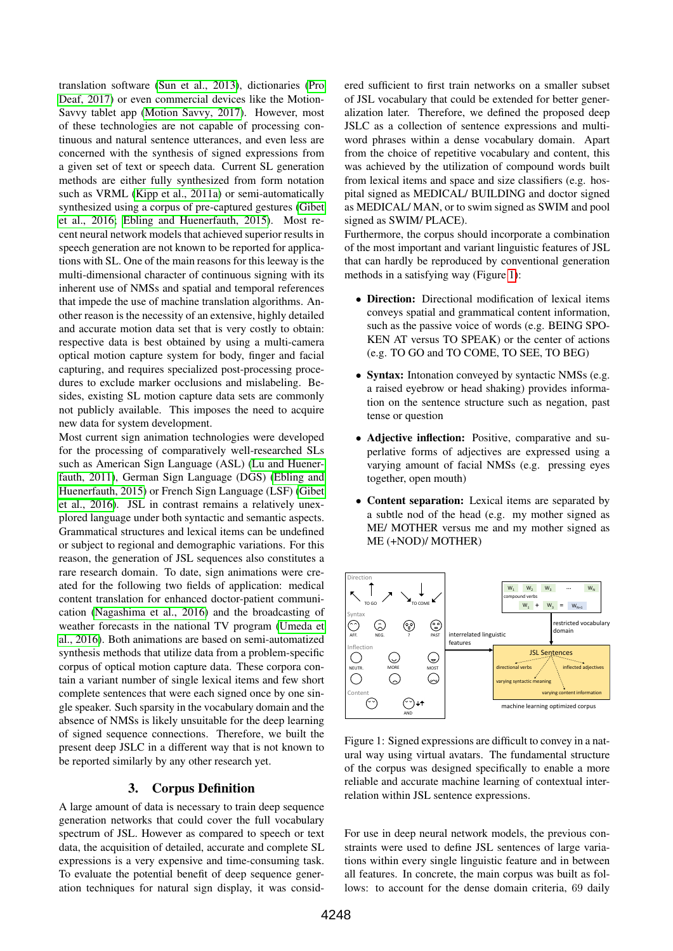translation software [\(Sun et al., 2013\)](#page-5-8), dictionaries [\(Pro](#page-5-9) [Deaf, 2017\)](#page-5-9) or even commercial devices like the Motion-Savvy tablet app [\(Motion Savvy, 2017\)](#page-5-10). However, most of these technologies are not capable of processing continuous and natural sentence utterances, and even less are concerned with the synthesis of signed expressions from a given set of text or speech data. Current SL generation methods are either fully synthesized from form notation such as VRML [\(Kipp et al., 2011a\)](#page-5-11) or semi-automatically synthesized using a corpus of pre-captured gestures [\(Gibet](#page-5-12) [et al., 2016;](#page-5-12) [Ebling and Huenerfauth, 2015\)](#page-5-5). Most recent neural network models that achieved superior results in speech generation are not known to be reported for applications with SL. One of the main reasons for this leeway is the multi-dimensional character of continuous signing with its inherent use of NMSs and spatial and temporal references that impede the use of machine translation algorithms. Another reason is the necessity of an extensive, highly detailed and accurate motion data set that is very costly to obtain: respective data is best obtained by using a multi-camera optical motion capture system for body, finger and facial capturing, and requires specialized post-processing procedures to exclude marker occlusions and mislabeling. Besides, existing SL motion capture data sets are commonly not publicly available. This imposes the need to acquire new data for system development.

Most current sign animation technologies were developed for the processing of comparatively well-researched SLs such as American Sign Language (ASL) [\(Lu and Huener](#page-5-13)[fauth, 2011\)](#page-5-13), German Sign Language (DGS) [\(Ebling and](#page-5-5) [Huenerfauth, 2015\)](#page-5-5) or French Sign Language (LSF) [\(Gibet](#page-5-12) [et al., 2016\)](#page-5-12). JSL in contrast remains a relatively unexplored language under both syntactic and semantic aspects. Grammatical structures and lexical items can be undefined or subject to regional and demographic variations. For this reason, the generation of JSL sequences also constitutes a rare research domain. To date, sign animations were created for the following two fields of application: medical content translation for enhanced doctor-patient communication [\(Nagashima et al., 2016\)](#page-5-14) and the broadcasting of weather forecasts in the national TV program [\(Umeda et](#page-5-15) [al., 2016\)](#page-5-15). Both animations are based on semi-automatized synthesis methods that utilize data from a problem-specific corpus of optical motion capture data. These corpora contain a variant number of single lexical items and few short complete sentences that were each signed once by one single speaker. Such sparsity in the vocabulary domain and the absence of NMSs is likely unsuitable for the deep learning of signed sequence connections. Therefore, we built the present deep JSLC in a different way that is not known to be reported similarly by any other research yet.

## 3. Corpus Definition

A large amount of data is necessary to train deep sequence generation networks that could cover the full vocabulary spectrum of JSL. However as compared to speech or text data, the acquisition of detailed, accurate and complete SL expressions is a very expensive and time-consuming task. To evaluate the potential benefit of deep sequence generation techniques for natural sign display, it was considered sufficient to first train networks on a smaller subset of JSL vocabulary that could be extended for better generalization later. Therefore, we defined the proposed deep JSLC as a collection of sentence expressions and multiword phrases within a dense vocabulary domain. Apart from the choice of repetitive vocabulary and content, this was achieved by the utilization of compound words built from lexical items and space and size classifiers (e.g. hospital signed as MEDICAL/ BUILDING and doctor signed as MEDICAL/ MAN, or to swim signed as SWIM and pool signed as SWIM/ PLACE).

Furthermore, the corpus should incorporate a combination of the most important and variant linguistic features of JSL that can hardly be reproduced by conventional generation methods in a satisfying way (Figure [1\)](#page-1-0):

- **Direction:** Directional modification of lexical items conveys spatial and grammatical content information, such as the passive voice of words (e.g. BEING SPO-KEN AT versus TO SPEAK) or the center of actions (e.g. TO GO and TO COME, TO SEE, TO BEG)
- Syntax: Intonation conveyed by syntactic NMSs (e.g. a raised eyebrow or head shaking) provides information on the sentence structure such as negation, past tense or question
- Adjective inflection: Positive, comparative and superlative forms of adjectives are expressed using a varying amount of facial NMSs (e.g. pressing eyes together, open mouth)
- Content separation: Lexical items are separated by a subtle nod of the head (e.g. my mother signed as ME/ MOTHER versus me and my mother signed as ME (+NOD)/ MOTHER)



<span id="page-1-0"></span>Figure 1: Signed expressions are difficult to convey in a natural way using virtual avatars. The fundamental structure of the corpus was designed specifically to enable a more reliable and accurate machine learning of contextual interrelation within JSL sentence expressions.

For use in deep neural network models, the previous constraints were used to define JSL sentences of large variations within every single linguistic feature and in between all features. In concrete, the main corpus was built as follows: to account for the dense domain criteria, 69 daily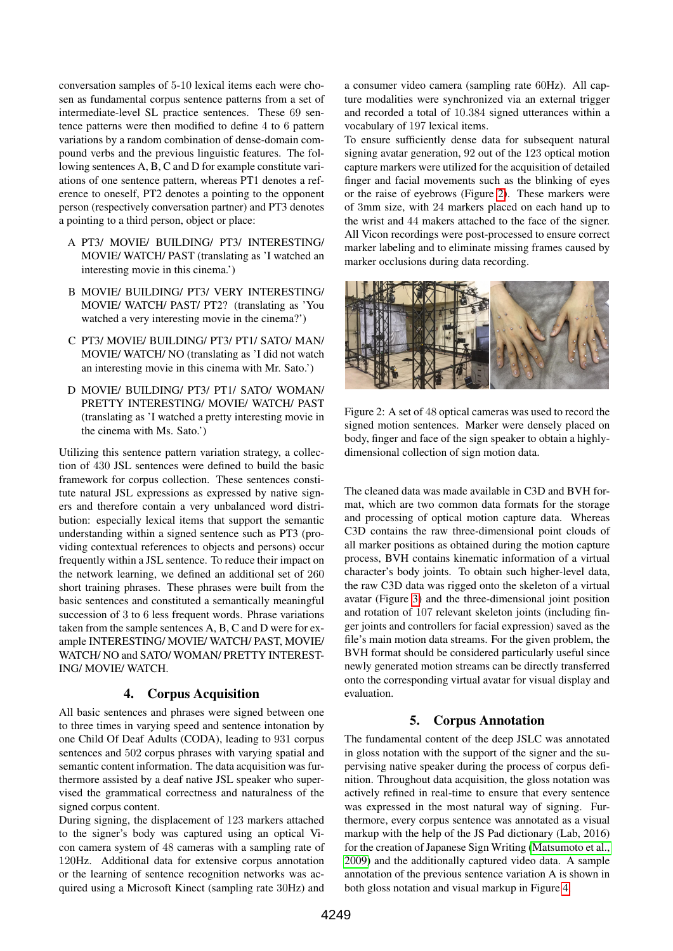conversation samples of 5-10 lexical items each were chosen as fundamental corpus sentence patterns from a set of intermediate-level SL practice sentences. These 69 sentence patterns were then modified to define 4 to 6 pattern variations by a random combination of dense-domain compound verbs and the previous linguistic features. The following sentences A, B, C and D for example constitute variations of one sentence pattern, whereas PT1 denotes a reference to oneself, PT2 denotes a pointing to the opponent person (respectively conversation partner) and PT3 denotes a pointing to a third person, object or place:

- A PT3/ MOVIE/ BUILDING/ PT3/ INTERESTING/ MOVIE/ WATCH/ PAST (translating as 'I watched an interesting movie in this cinema.')
- B MOVIE/ BUILDING/ PT3/ VERY INTERESTING/ MOVIE/ WATCH/ PAST/ PT2? (translating as 'You watched a very interesting movie in the cinema?')
- C PT3/ MOVIE/ BUILDING/ PT3/ PT1/ SATO/ MAN/ MOVIE/ WATCH/ NO (translating as 'I did not watch an interesting movie in this cinema with Mr. Sato.')
- D MOVIE/ BUILDING/ PT3/ PT1/ SATO/ WOMAN/ PRETTY INTERESTING/ MOVIE/ WATCH/ PAST (translating as 'I watched a pretty interesting movie in the cinema with Ms. Sato.')

Utilizing this sentence pattern variation strategy, a collection of 430 JSL sentences were defined to build the basic framework for corpus collection. These sentences constitute natural JSL expressions as expressed by native signers and therefore contain a very unbalanced word distribution: especially lexical items that support the semantic understanding within a signed sentence such as PT3 (providing contextual references to objects and persons) occur frequently within a JSL sentence. To reduce their impact on the network learning, we defined an additional set of 260 short training phrases. These phrases were built from the basic sentences and constituted a semantically meaningful succession of 3 to 6 less frequent words. Phrase variations taken from the sample sentences A, B, C and D were for example INTERESTING/ MOVIE/ WATCH/ PAST, MOVIE/ WATCH/ NO and SATO/ WOMAN/ PRETTY INTEREST-ING/ MOVIE/ WATCH.

## 4. Corpus Acquisition

All basic sentences and phrases were signed between one to three times in varying speed and sentence intonation by one Child Of Deaf Adults (CODA), leading to 931 corpus sentences and 502 corpus phrases with varying spatial and semantic content information. The data acquisition was furthermore assisted by a deaf native JSL speaker who supervised the grammatical correctness and naturalness of the signed corpus content.

During signing, the displacement of 123 markers attached to the signer's body was captured using an optical Vicon camera system of 48 cameras with a sampling rate of 120Hz. Additional data for extensive corpus annotation or the learning of sentence recognition networks was acquired using a Microsoft Kinect (sampling rate 30Hz) and a consumer video camera (sampling rate 60Hz). All capture modalities were synchronized via an external trigger and recorded a total of 10.384 signed utterances within a vocabulary of 197 lexical items.

To ensure sufficiently dense data for subsequent natural signing avatar generation, 92 out of the 123 optical motion capture markers were utilized for the acquisition of detailed finger and facial movements such as the blinking of eyes or the raise of eyebrows (Figure [2\)](#page-2-0). These markers were of 3mm size, with 24 markers placed on each hand up to the wrist and 44 makers attached to the face of the signer. All Vicon recordings were post-processed to ensure correct marker labeling and to eliminate missing frames caused by marker occlusions during data recording.



Figure 2: A set of 48 optical cameras was used to record the signed motion sentences. Marker were densely placed on body, finger and face of the sign speaker to obtain a highlydimensional collection of sign motion data.

<span id="page-2-0"></span>The cleaned data was made available in C3D and BVH format, which are two common data formats for the storage and processing of optical motion capture data. Whereas C3D contains the raw three-dimensional point clouds of all marker positions as obtained during the motion capture process, BVH contains kinematic information of a virtual character's body joints. To obtain such higher-level data, the raw C3D data was rigged onto the skeleton of a virtual avatar (Figure [3\)](#page-3-0) and the three-dimensional joint position and rotation of 107 relevant skeleton joints (including finger joints and controllers for facial expression) saved as the file's main motion data streams. For the given problem, the BVH format should be considered particularly useful since newly generated motion streams can be directly transferred onto the corresponding virtual avatar for visual display and evaluation.

## 5. Corpus Annotation

The fundamental content of the deep JSLC was annotated in gloss notation with the support of the signer and the supervising native speaker during the process of corpus definition. Throughout data acquisition, the gloss notation was actively refined in real-time to ensure that every sentence was expressed in the most natural way of signing. Furthermore, every corpus sentence was annotated as a visual markup with the help of the JS Pad dictionary (Lab, 2016) for the creation of Japanese Sign Writing [\(Matsumoto et al.,](#page-5-16) [2009\)](#page-5-16) and the additionally captured video data. A sample annotation of the previous sentence variation A is shown in both gloss notation and visual markup in Figure [4.](#page-4-0)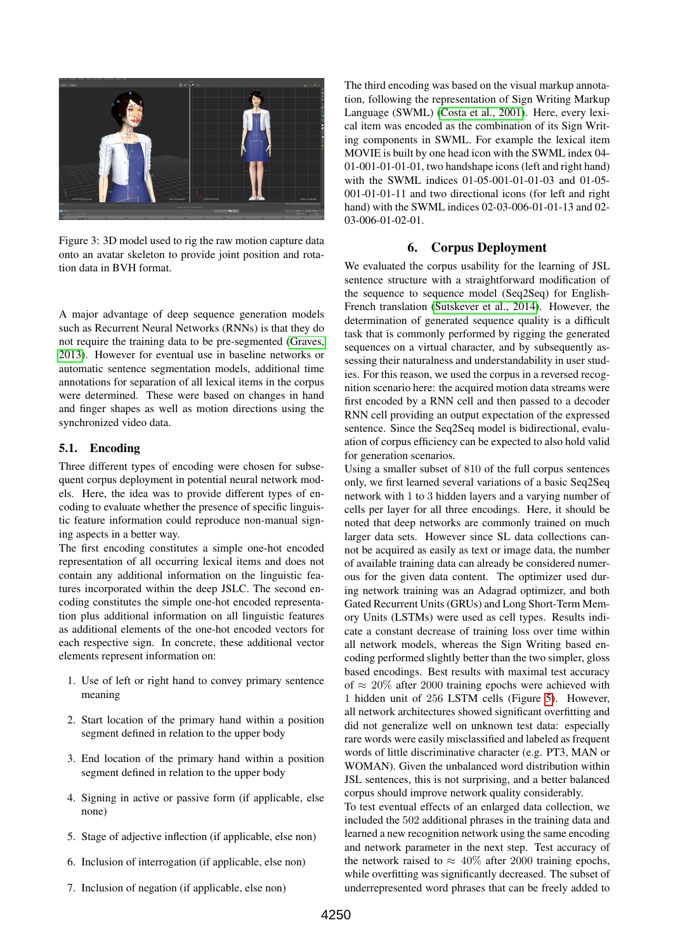

Figure 3: 3D model used to rig the raw motion capture data onto an avatar skeleton to provide joint position and rotation data in BVH format.

<span id="page-3-0"></span>A major advantage of deep sequence generation models such as Recurrent Neural Networks (RNNs) is that they do not require the training data to be pre-segmented [\(Graves,](#page-5-17) [2013\)](#page-5-17). However for eventual use in baseline networks or automatic sentence segmentation models, additional time annotations for separation of all lexical items in the corpus were determined. These were based on changes in hand and finger shapes as well as motion directions using the synchronized video data.

#### 5.1. Encoding

Three different types of encoding were chosen for subsequent corpus deployment in potential neural network models. Here, the idea was to provide different types of encoding to evaluate whether the presence of specific linguistic feature information could reproduce non-manual signing aspects in a better way.

The first encoding constitutes a simple one-hot encoded representation of all occurring lexical items and does not contain any additional information on the linguistic features incorporated within the deep JSLC. The second encoding constitutes the simple one-hot encoded representation plus additional information on all linguistic features as additional elements of the one-hot encoded vectors for each respective sign. In concrete, these additional vector elements represent information on:

- 1. Use of left or right hand to convey primary sentence meaning
- 2. Start location of the primary hand within a position segment defined in relation to the upper body
- 3. End location of the primary hand within a position segment defined in relation to the upper body
- 4. Signing in active or passive form (if applicable, else none)
- 5. Stage of adjective inflection (if applicable, else non)
- 6. Inclusion of interrogation (if applicable, else non)
- 7. Inclusion of negation (if applicable, else non)

The third encoding was based on the visual markup annotation, following the representation of Sign Writing Markup Language (SWML) [\(Costa et al., 2001\)](#page-5-18). Here, every lexical item was encoded as the combination of its Sign Writing components in SWML. For example the lexical item MOVIE is built by one head icon with the SWML index 04- 01-001-01-01-01, two handshape icons (left and right hand) with the SWML indices 01-05-001-01-01-03 and 01-05- 001-01-01-11 and two directional icons (for left and right hand) with the SWML indices 02-03-006-01-01-13 and 02- 03-006-01-02-01.

## 6. Corpus Deployment

We evaluated the corpus usability for the learning of JSL sentence structure with a straightforward modification of the sequence to sequence model (Seq2Seq) for English-French translation [\(Sutskever et al., 2014\)](#page-5-19). However, the determination of generated sequence quality is a difficult task that is commonly performed by rigging the generated sequences on a virtual character, and by subsequently assessing their naturalness and understandability in user studies. For this reason, we used the corpus in a reversed recognition scenario here: the acquired motion data streams were first encoded by a RNN cell and then passed to a decoder RNN cell providing an output expectation of the expressed sentence. Since the Seq2Seq model is bidirectional, evaluation of corpus efficiency can be expected to also hold valid for generation scenarios.

Using a smaller subset of 810 of the full corpus sentences only, we first learned several variations of a basic Seq2Seq network with 1 to 3 hidden layers and a varying number of cells per layer for all three encodings. Here, it should be noted that deep networks are commonly trained on much larger data sets. However since SL data collections cannot be acquired as easily as text or image data, the number of available training data can already be considered numerous for the given data content. The optimizer used during network training was an Adagrad optimizer, and both Gated Recurrent Units (GRUs) and Long Short-Term Memory Units (LSTMs) were used as cell types. Results indicate a constant decrease of training loss over time within all network models, whereas the Sign Writing based encoding performed slightly better than the two simpler, gloss based encodings. Best results with maximal test accuracy of  $\approx 20\%$  after 2000 training epochs were achieved with 1 hidden unit of 256 LSTM cells (Figure [5\)](#page-4-1). However, all network architectures showed significant overfitting and did not generalize well on unknown test data: especially rare words were easily misclassified and labeled as frequent words of little discriminative character (e.g. PT3, MAN or WOMAN). Given the unbalanced word distribution within JSL sentences, this is not surprising, and a better balanced corpus should improve network quality considerably.

To test eventual effects of an enlarged data collection, we included the 502 additional phrases in the training data and learned a new recognition network using the same encoding and network parameter in the next step. Test accuracy of the network raised to  $\approx 40\%$  after 2000 training epochs, while overfitting was significantly decreased. The subset of underrepresented word phrases that can be freely added to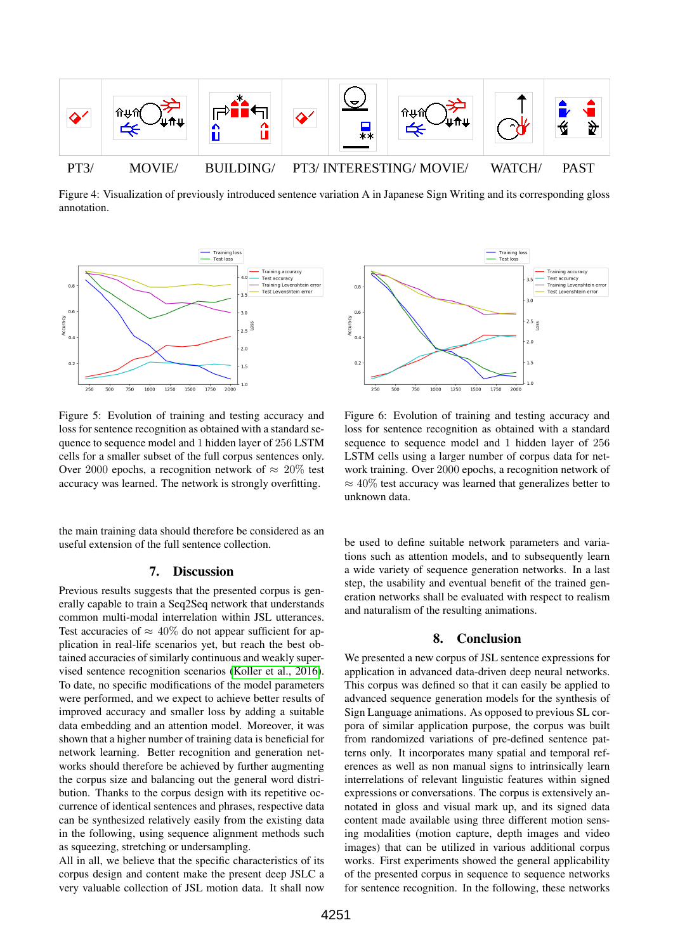

<span id="page-4-0"></span>Figure 4: Visualization of previously introduced sentence variation A in Japanese Sign Writing and its corresponding gloss annotation.



<span id="page-4-1"></span>Figure 5: Evolution of training and testing accuracy and loss for sentence recognition as obtained with a standard sequence to sequence model and 1 hidden layer of 256 LSTM cells for a smaller subset of the full corpus sentences only. Over 2000 epochs, a recognition network of  $\approx 20\%$  test accuracy was learned. The network is strongly overfitting.

the main training data should therefore be considered as an useful extension of the full sentence collection.

#### 7. Discussion

Previous results suggests that the presented corpus is generally capable to train a Seq2Seq network that understands common multi-modal interrelation within JSL utterances. Test accuracies of  $\approx 40\%$  do not appear sufficient for application in real-life scenarios yet, but reach the best obtained accuracies of similarly continuous and weakly supervised sentence recognition scenarios [\(Koller et al., 2016\)](#page-5-20). To date, no specific modifications of the model parameters were performed, and we expect to achieve better results of improved accuracy and smaller loss by adding a suitable data embedding and an attention model. Moreover, it was shown that a higher number of training data is beneficial for network learning. Better recognition and generation networks should therefore be achieved by further augmenting the corpus size and balancing out the general word distribution. Thanks to the corpus design with its repetitive occurrence of identical sentences and phrases, respective data can be synthesized relatively easily from the existing data in the following, using sequence alignment methods such as squeezing, stretching or undersampling.

All in all, we believe that the specific characteristics of its corpus design and content make the present deep JSLC a very valuable collection of JSL motion data. It shall now



Figure 6: Evolution of training and testing accuracy and loss for sentence recognition as obtained with a standard sequence to sequence model and 1 hidden layer of 256 LSTM cells using a larger number of corpus data for network training. Over 2000 epochs, a recognition network of  $\approx 40\%$  test accuracy was learned that generalizes better to unknown data.

be used to define suitable network parameters and variations such as attention models, and to subsequently learn a wide variety of sequence generation networks. In a last step, the usability and eventual benefit of the trained generation networks shall be evaluated with respect to realism and naturalism of the resulting animations.

#### 8. Conclusion

We presented a new corpus of JSL sentence expressions for application in advanced data-driven deep neural networks. This corpus was defined so that it can easily be applied to advanced sequence generation models for the synthesis of Sign Language animations. As opposed to previous SL corpora of similar application purpose, the corpus was built from randomized variations of pre-defined sentence patterns only. It incorporates many spatial and temporal references as well as non manual signs to intrinsically learn interrelations of relevant linguistic features within signed expressions or conversations. The corpus is extensively annotated in gloss and visual mark up, and its signed data content made available using three different motion sensing modalities (motion capture, depth images and video images) that can be utilized in various additional corpus works. First experiments showed the general applicability of the presented corpus in sequence to sequence networks for sentence recognition. In the following, these networks